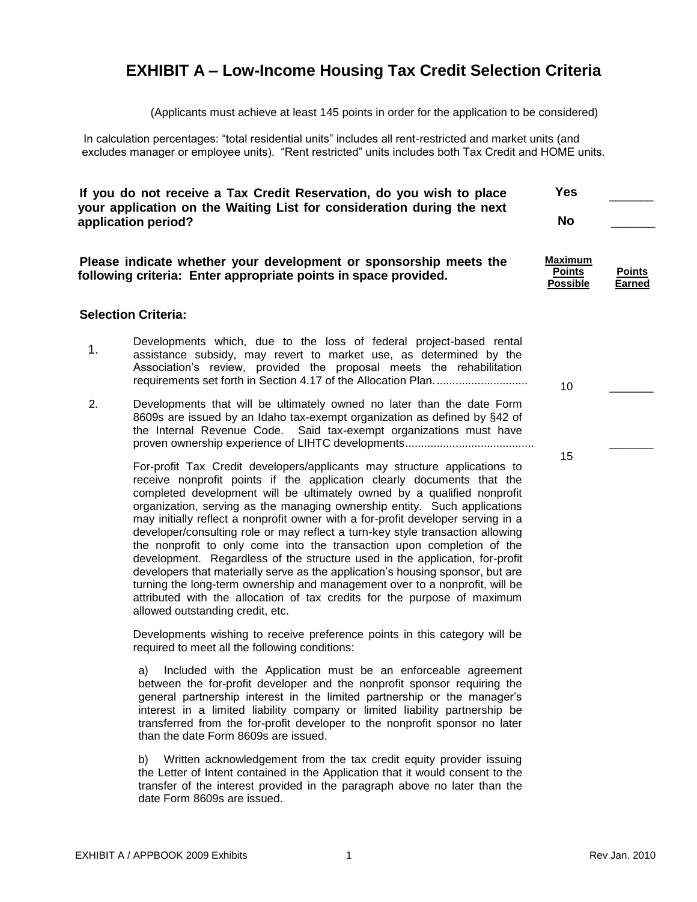# **EXHIBIT A – Low-Income Housing Tax Credit Selection Criteria**

(Applicants must achieve at least 145 points in order for the application to be considered)

In calculation percentages: "total residential units" includes all rent-restricted and market units (and excludes manager or employee units). "Rent restricted" units includes both Tax Credit and HOME units.

| If you do not receive a Tax Credit Reservation, do you wish to place<br>your application on the Waiting List for consideration during the next<br>application period? |                                                                                                                                                                                                                                                                                                                                                                                                                                                                                                                                                             | <b>Yes</b><br><b>No</b>                            |                                |
|-----------------------------------------------------------------------------------------------------------------------------------------------------------------------|-------------------------------------------------------------------------------------------------------------------------------------------------------------------------------------------------------------------------------------------------------------------------------------------------------------------------------------------------------------------------------------------------------------------------------------------------------------------------------------------------------------------------------------------------------------|----------------------------------------------------|--------------------------------|
|                                                                                                                                                                       | Please indicate whether your development or sponsorship meets the<br>following criteria: Enter appropriate points in space provided.                                                                                                                                                                                                                                                                                                                                                                                                                        | <b>Maximum</b><br><b>Points</b><br><b>Possible</b> | <b>Points</b><br><b>Earned</b> |
|                                                                                                                                                                       | <b>Selection Criteria:</b>                                                                                                                                                                                                                                                                                                                                                                                                                                                                                                                                  |                                                    |                                |
| 1.                                                                                                                                                                    | Developments which, due to the loss of federal project-based rental<br>assistance subsidy, may revert to market use, as determined by the<br>Association's review, provided the proposal meets the rehabilitation                                                                                                                                                                                                                                                                                                                                           | 10                                                 |                                |
| 2.                                                                                                                                                                    | Developments that will be ultimately owned no later than the date Form<br>8609s are issued by an Idaho tax-exempt organization as defined by §42 of<br>the Internal Revenue Code. Said tax-exempt organizations must have                                                                                                                                                                                                                                                                                                                                   |                                                    |                                |
|                                                                                                                                                                       | For-profit Tax Credit developers/applicants may structure applications to<br>receive nonprofit points if the application clearly documents that the<br>completed development will be ultimately owned by a qualified nonprofit<br>organization, serving as the managing ownership entity. Such applications<br>may initially reflect a nonprofit owner with a for-profit developer serving in a<br>developer/consulting role or may reflect a turn-key style transaction allowing<br>the nonprofit to only come into the transaction upon completion of the | 15                                                 |                                |

development. Regardless of the structure used in the application, for-profit developers that materially serve as the application's housing sponsor, but are turning the long-term ownership and management over to a nonprofit, will be attributed with the allocation of tax credits for the purpose of maximum

Developments wishing to receive preference points in this category will be

a) Included with the Application must be an enforceable agreement between the for-profit developer and the nonprofit sponsor requiring the general partnership interest in the limited partnership or the manager's interest in a limited liability company or limited liability partnership be transferred from the for-profit developer to the nonprofit sponsor no later

b) Written acknowledgement from the tax credit equity provider issuing the Letter of Intent contained in the Application that it would consent to the transfer of the interest provided in the paragraph above no later than the

EXHIBIT A / APPBOOK 2009 Exhibits 1 All 2010 1 2010 1 2010 1 2010 1 2010 1 2010 1 2010 1 2010 1 2010 1 2010 1 2010

allowed outstanding credit, etc.

required to meet all the following conditions:

than the date Form 8609s are issued.

date Form 8609s are issued.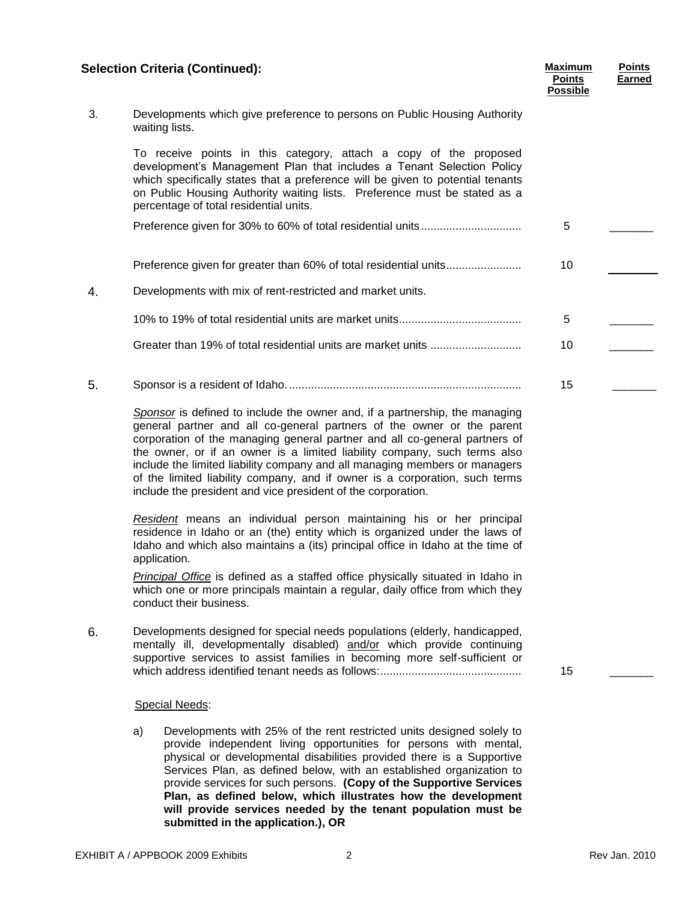# **Selection Criteria (Continued): Maximum**

|    | <b>Selection Criteria (Continued):</b>                                                                                                                                                                                                                                                                                                                                                                                                                                                                                                        | <b>Maximum</b><br><b>Points</b><br><b>Possible</b> | <b>Points</b><br><b>Earned</b> |
|----|-----------------------------------------------------------------------------------------------------------------------------------------------------------------------------------------------------------------------------------------------------------------------------------------------------------------------------------------------------------------------------------------------------------------------------------------------------------------------------------------------------------------------------------------------|----------------------------------------------------|--------------------------------|
| 3. | Developments which give preference to persons on Public Housing Authority<br>waiting lists.                                                                                                                                                                                                                                                                                                                                                                                                                                                   |                                                    |                                |
|    | To receive points in this category, attach a copy of the proposed<br>development's Management Plan that includes a Tenant Selection Policy<br>which specifically states that a preference will be given to potential tenants<br>on Public Housing Authority waiting lists. Preference must be stated as a<br>percentage of total residential units.                                                                                                                                                                                           |                                                    |                                |
|    |                                                                                                                                                                                                                                                                                                                                                                                                                                                                                                                                               | 5                                                  |                                |
|    | Preference given for greater than 60% of total residential units                                                                                                                                                                                                                                                                                                                                                                                                                                                                              | 10                                                 |                                |
| 4. | Developments with mix of rent-restricted and market units.                                                                                                                                                                                                                                                                                                                                                                                                                                                                                    |                                                    |                                |
|    |                                                                                                                                                                                                                                                                                                                                                                                                                                                                                                                                               | 5                                                  |                                |
|    |                                                                                                                                                                                                                                                                                                                                                                                                                                                                                                                                               | 10                                                 |                                |
| 5. |                                                                                                                                                                                                                                                                                                                                                                                                                                                                                                                                               | 15                                                 |                                |
|    | Sponsor is defined to include the owner and, if a partnership, the managing<br>general partner and all co-general partners of the owner or the parent<br>corporation of the managing general partner and all co-general partners of<br>the owner, or if an owner is a limited liability company, such terms also<br>include the limited liability company and all managing members or managers<br>of the limited liability company, and if owner is a corporation, such terms<br>include the president and vice president of the corporation. |                                                    |                                |
|    | Resident means an individual person maintaining his or her principal<br>residence in Idaho or an (the) entity which is organized under the laws of<br>Idaho and which also maintains a (its) principal office in Idaho at the time of<br>application.                                                                                                                                                                                                                                                                                         |                                                    |                                |
|    | Principal Office is defined as a staffed office physically situated in Idaho in<br>which one or more principals maintain a regular, daily office from which they<br>conduct their business.                                                                                                                                                                                                                                                                                                                                                   |                                                    |                                |
| 6. | Developments designed for special needs populations (elderly, handicapped,<br>mentally ill, developmentally disabled) and/or which provide continuing<br>supportive services to assist families in becoming more self-sufficient or                                                                                                                                                                                                                                                                                                           | 15                                                 |                                |
|    | Special Needs:                                                                                                                                                                                                                                                                                                                                                                                                                                                                                                                                |                                                    |                                |
|    | a)<br>Developments with 25% of the rent restricted units designed solely to<br>provide independent living opportunities for persons with mental,                                                                                                                                                                                                                                                                                                                                                                                              |                                                    |                                |

physical or developmental disabilities provided there is a Supportive Services Plan, as defined below, with an established organization to provide services for such persons. **(Copy of the Supportive Services Plan, as defined below, which illustrates how the development will provide services needed by the tenant population must be submitted in the application.), OR**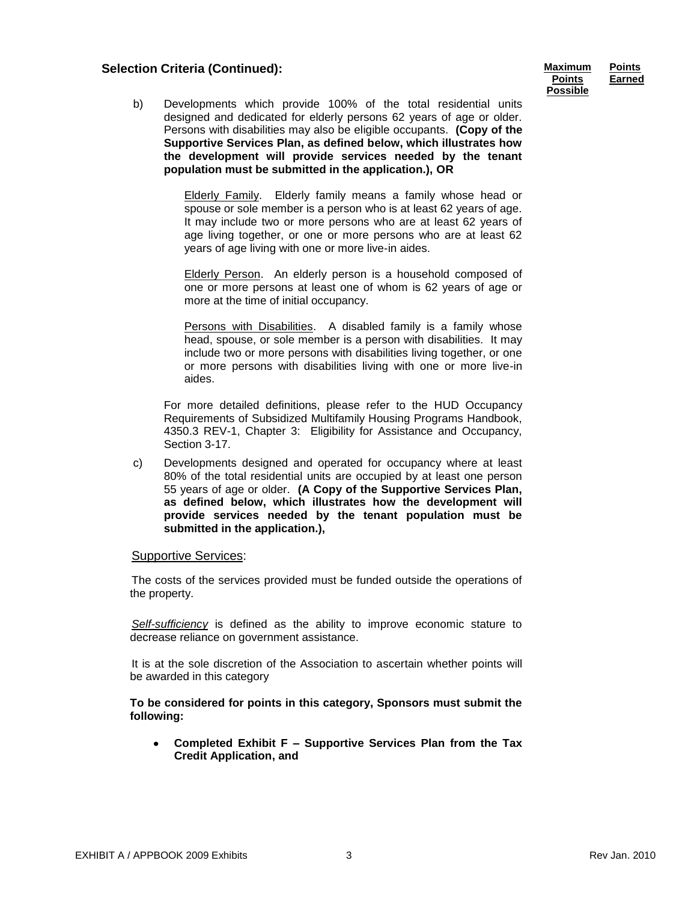# **Selection Criteria (Continued): Maximum**

| Maximum       | <b>Points</b> |
|---------------|---------------|
| <b>Points</b> | Earned        |
| Possible      |               |

b) Developments which provide 100% of the total residential units designed and dedicated for elderly persons 62 years of age or older. Persons with disabilities may also be eligible occupants. **(Copy of the Supportive Services Plan, as defined below, which illustrates how the development will provide services needed by the tenant population must be submitted in the application.), OR**

> Elderly Family. Elderly family means a family whose head or spouse or sole member is a person who is at least 62 years of age. It may include two or more persons who are at least 62 years of age living together, or one or more persons who are at least 62 years of age living with one or more live-in aides.

> Elderly Person. An elderly person is a household composed of one or more persons at least one of whom is 62 years of age or more at the time of initial occupancy.

> Persons with Disabilities. A disabled family is a family whose head, spouse, or sole member is a person with disabilities. It may include two or more persons with disabilities living together, or one or more persons with disabilities living with one or more live-in aides.

For more detailed definitions, please refer to the HUD Occupancy Requirements of Subsidized Multifamily Housing Programs Handbook, 4350.3 REV-1, Chapter 3: Eligibility for Assistance and Occupancy, Section 3-17.

c) Developments designed and operated for occupancy where at least 80% of the total residential units are occupied by at least one person 55 years of age or older. **(A Copy of the Supportive Services Plan, as defined below, which illustrates how the development will provide services needed by the tenant population must be submitted in the application.),**

#### Supportive Services:

The costs of the services provided must be funded outside the operations of the property.

*Self-sufficiency* is defined as the ability to improve economic stature to decrease reliance on government assistance.

It is at the sole discretion of the Association to ascertain whether points will be awarded in this category

**To be considered for points in this category, Sponsors must submit the following:**

**Completed Exhibit F – Supportive Services Plan from the Tax Credit Application, and**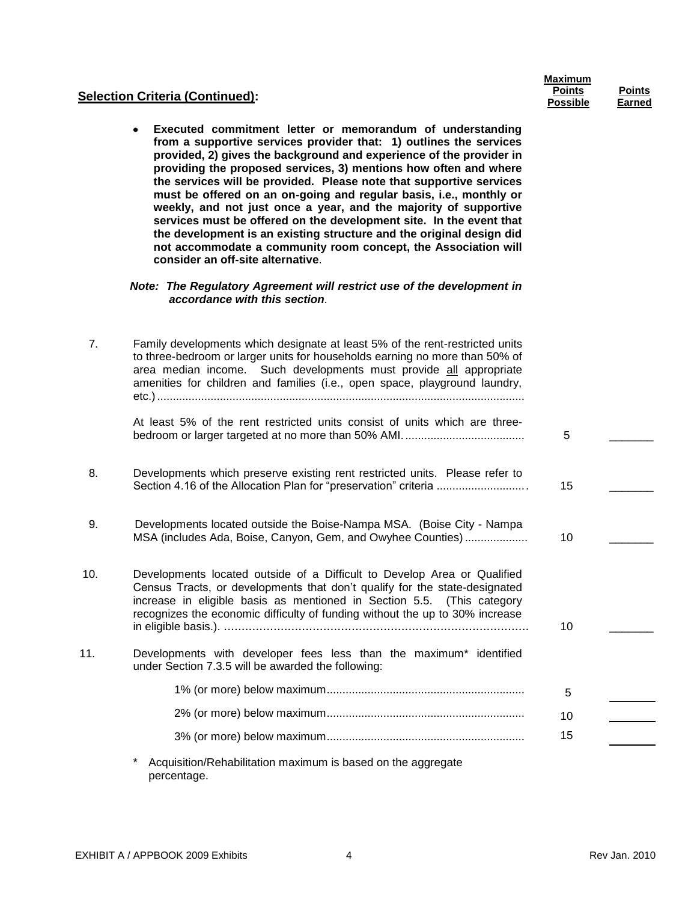| <b>Maximum</b>  |               |
|-----------------|---------------|
| <b>Points</b>   | <b>Points</b> |
| <b>Possible</b> | Earned        |

### **Selection Criteria (Continued):**

**Executed commitment letter or memorandum of understanding**   $\bullet$ **from a supportive services provider that: 1) outlines the services provided, 2) gives the background and experience of the provider in providing the proposed services, 3) mentions how often and where the services will be provided. Please note that supportive services must be offered on an on-going and regular basis, i.e., monthly or weekly, and not just once a year, and the majority of supportive services must be offered on the development site. In the event that the development is an existing structure and the original design did not accommodate a community room concept, the Association will consider an off-site alternative**.

#### *Note: The Regulatory Agreement will restrict use of the development in accordance with this section.*

| 7.  | Family developments which designate at least 5% of the rent-restricted units<br>to three-bedroom or larger units for households earning no more than 50% of<br>area median income. Such developments must provide all appropriate<br>amenities for children and families (i.e., open space, playground laundry,  |    |  |
|-----|------------------------------------------------------------------------------------------------------------------------------------------------------------------------------------------------------------------------------------------------------------------------------------------------------------------|----|--|
|     | At least 5% of the rent restricted units consist of units which are three-                                                                                                                                                                                                                                       | 5  |  |
| 8.  | Developments which preserve existing rent restricted units. Please refer to                                                                                                                                                                                                                                      | 15 |  |
| 9.  | Developments located outside the Boise-Nampa MSA. (Boise City - Nampa<br>MSA (includes Ada, Boise, Canyon, Gem, and Owyhee Counties)                                                                                                                                                                             | 10 |  |
| 10. | Developments located outside of a Difficult to Develop Area or Qualified<br>Census Tracts, or developments that don't qualify for the state-designated<br>increase in eligible basis as mentioned in Section 5.5. (This category<br>recognizes the economic difficulty of funding without the up to 30% increase | 10 |  |
| 11. | Developments with developer fees less than the maximum* identified<br>under Section 7.3.5 will be awarded the following:                                                                                                                                                                                         |    |  |
|     |                                                                                                                                                                                                                                                                                                                  | 5  |  |
|     |                                                                                                                                                                                                                                                                                                                  | 10 |  |
|     |                                                                                                                                                                                                                                                                                                                  | 15 |  |
|     | Acquisition/Rehabilitation maximum is based on the aggregate<br>percentage.                                                                                                                                                                                                                                      |    |  |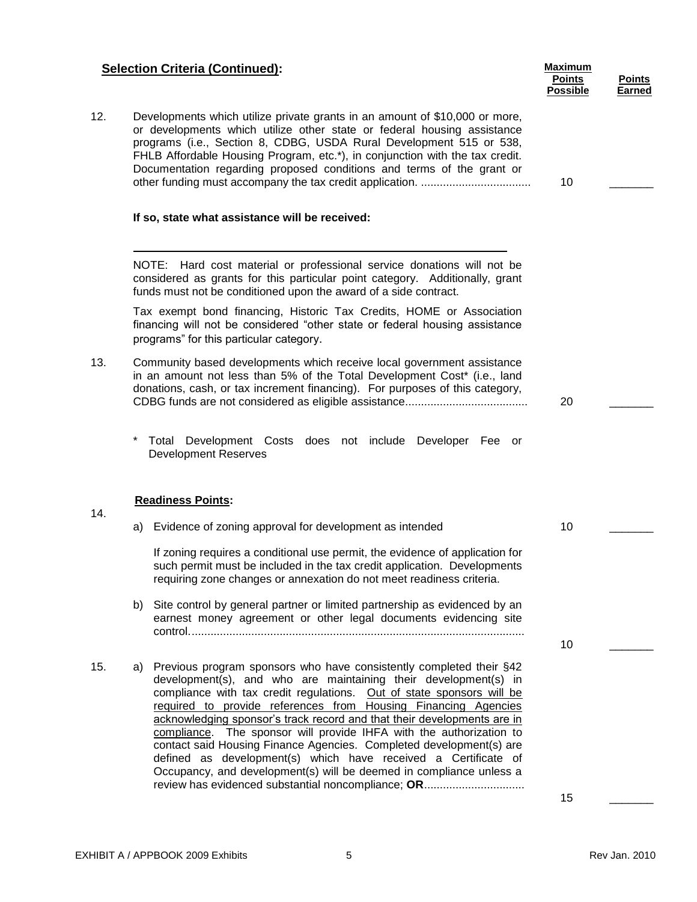| <b>Selection Criteria (Continued):</b> | <b>Maximum</b> |
|----------------------------------------|----------------|
|                                        |                |

| 12. | Developments which utilize private grants in an amount of \$10,000 or more,<br>or developments which utilize other state or federal housing assistance<br>programs (i.e., Section 8, CDBG, USDA Rural Development 515 or 538, |    |  |
|-----|-------------------------------------------------------------------------------------------------------------------------------------------------------------------------------------------------------------------------------|----|--|
|     | FHLB Affordable Housing Program, etc.*), in conjunction with the tax credit.                                                                                                                                                  |    |  |
|     | Documentation regarding proposed conditions and terms of the grant or                                                                                                                                                         |    |  |
|     |                                                                                                                                                                                                                               | 10 |  |

#### **If so, state what assistance will be received:**

NOTE: Hard cost material or professional service donations will not be considered as grants for this particular point category. Additionally, grant funds must not be conditioned upon the award of a side contract.

Tax exempt bond financing, Historic Tax Credits, HOME or Association financing will not be considered "other state or federal housing assistance programs" for this particular category.

- 13. Community based developments which receive local government assistance in an amount not less than 5% of the Total Development Cost\* (i.e., land donations, cash, or tax increment financing). For purposes of this category, CDBG funds are not considered as eligible assistance.......................................
	- Total Development Costs does not include Developer Fee or Development Reserves

#### **Readiness Points:**

14.

- a) Evidence of zoning approval for development as intended If zoning requires a conditional use permit, the evidence of application for such permit must be included in the tax credit application. Developments requiring zone changes or annexation do not meet readiness criteria. 10
- b) Site control by general partner or limited partnership as evidenced by an earnest money agreement or other legal documents evidencing site control...........................................................................................................
- 15. a) Previous program sponsors who have consistently completed their §42 development(s), and who are maintaining their development(s) in compliance with tax credit regulations. Out of state sponsors will be required to provide references from Housing Financing Agencies acknowledging sponsor's track record and that their developments are in compliance. The sponsor will provide IHFA with the authorization to contact said Housing Finance Agencies. Completed development(s) are defined as development(s) which have received a Certificate of Occupancy, and development(s) will be deemed in compliance unless a review has evidenced substantial noncompliance; **OR**................................

15 \_\_\_\_\_\_\_

10

**Points Possible**

20 \_\_\_\_\_\_\_

**Points Earned**

 $\overline{\phantom{a}}$ 

 $\overline{\phantom{a}}$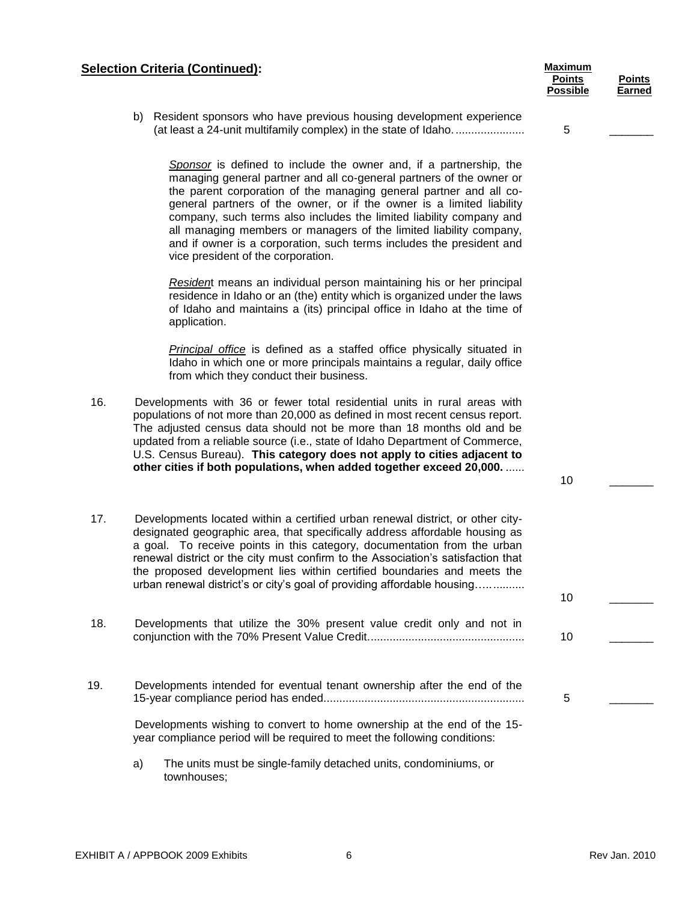# **Selection Criteria (Continued): Maximum** *Maximum* **Maximum Maximum**

| b) Resident sponsors who have previous housing development experience |  |
|-----------------------------------------------------------------------|--|
| (at least a 24-unit multifamily complex) in the state of Idaho        |  |

*Sponsor* is defined to include the owner and, if a partnership, the managing general partner and all co-general partners of the owner or the parent corporation of the managing general partner and all cogeneral partners of the owner, or if the owner is a limited liability company, such terms also includes the limited liability company and all managing members or managers of the limited liability company, and if owner is a corporation, such terms includes the president and vice president of the corporation.

*Residen*t means an individual person maintaining his or her principal residence in Idaho or an (the) entity which is organized under the laws of Idaho and maintains a (its) principal office in Idaho at the time of application.

*Principal office* is defined as a staffed office physically situated in Idaho in which one or more principals maintains a regular, daily office from which they conduct their business.

- 16. Developments with 36 or fewer total residential units in rural areas with populations of not more than 20,000 as defined in most recent census report. The adjusted census data should not be more than 18 months old and be updated from a reliable source (i.e., state of Idaho Department of Commerce, U.S. Census Bureau). **This category does not apply to cities adjacent to other cities if both populations, when added together exceed 20,000.** ......
- 17. Developments located within a certified urban renewal district, or other citydesignated geographic area, that specifically address affordable housing as a goal. To receive points in this category, documentation from the urban renewal district or the city must confirm to the Association's satisfaction that the proposed development lies within certified boundaries and meets the urban renewal district's or city's goal of providing affordable housing...............
- 18. Developments that utilize the 30% present value credit only and not in conjunction with the 70% Present Value Credit.................................................. 10 \_\_\_\_\_\_\_
- 19. Developments intended for eventual tenant ownership after the end of the 15-year compliance period has ended................................................................

Developments wishing to convert to home ownership at the end of the 15 year compliance period will be required to meet the following conditions:

a) The units must be single-family detached units, condominiums, or townhouses;

5 \_\_\_\_\_\_\_

**Points Possible**

 $10$ 

10 \_\_\_\_\_\_\_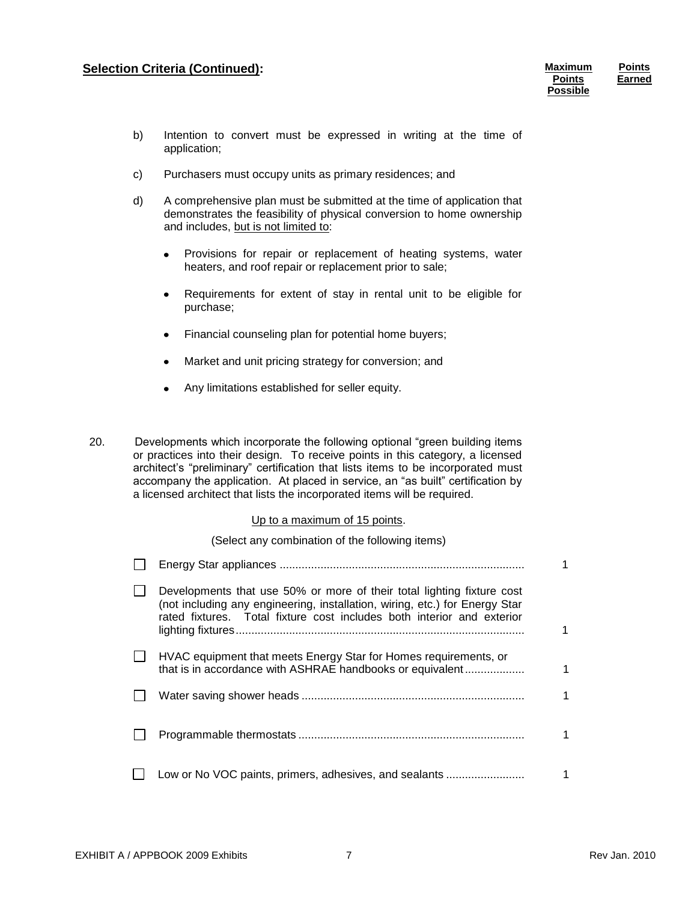# **Selection Criteria (Continued): Maximum Maximum Maximum**

**Points Possible** **Points Earned**

- b) Intention to convert must be expressed in writing at the time of application;
- c) Purchasers must occupy units as primary residences; and
- d) A comprehensive plan must be submitted at the time of application that demonstrates the feasibility of physical conversion to home ownership and includes, but is not limited to:
	- Provisions for repair or replacement of heating systems, water  $\bullet$ heaters, and roof repair or replacement prior to sale;
	- Requirements for extent of stay in rental unit to be eligible for  $\bullet$ purchase;
	- Financial counseling plan for potential home buyers;  $\bullet$
	- Market and unit pricing strategy for conversion; and
	- Any limitations established for seller equity.
- 20. Developments which incorporate the following optional "green building items or practices into their design. To receive points in this category, a licensed architect's "preliminary" certification that lists items to be incorporated must accompany the application. At placed in service, an "as built" certification by a licensed architect that lists the incorporated items will be required.

#### Up to a maximum of 15 points.

(Select any combination of the following items)

| Developments that use 50% or more of their total lighting fixture cost<br>(not including any engineering, installation, wiring, etc.) for Energy Star<br>rated fixtures. Total fixture cost includes both interior and exterior |  |
|---------------------------------------------------------------------------------------------------------------------------------------------------------------------------------------------------------------------------------|--|
| HVAC equipment that meets Energy Star for Homes requirements, or<br>that is in accordance with ASHRAE handbooks or equivalent                                                                                                   |  |
|                                                                                                                                                                                                                                 |  |
|                                                                                                                                                                                                                                 |  |
| Low or No VOC paints, primers, adhesives, and sealants                                                                                                                                                                          |  |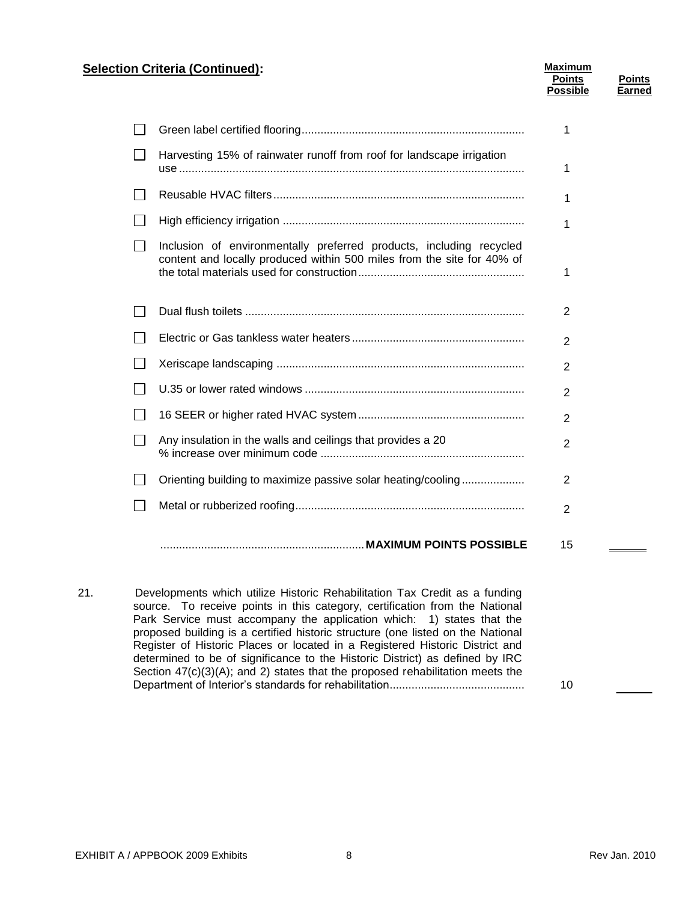# **Selection Criteria (Continued): Maximum** *Maximum* **Maximum**

|              |                                                                       | <b>Points</b><br><b>Possible</b> | Points<br>Earned |
|--------------|-----------------------------------------------------------------------|----------------------------------|------------------|
| $\mathbf{1}$ |                                                                       |                                  |                  |
| $\mathsf{L}$ | Harvesting 15% of rainwater runoff from roof for landscape irrigation |                                  |                  |

|                                                                                                                                               | 1              |
|-----------------------------------------------------------------------------------------------------------------------------------------------|----------------|
|                                                                                                                                               | 1              |
| Inclusion of environmentally preferred products, including recycled<br>content and locally produced within 500 miles from the site for 40% of | 1              |
|                                                                                                                                               | 2              |
|                                                                                                                                               | $\overline{2}$ |
|                                                                                                                                               | $\overline{2}$ |
|                                                                                                                                               | $\overline{2}$ |
|                                                                                                                                               | $\overline{2}$ |
| Any insulation in the walls and ceilings that provides a 20                                                                                   | $\overline{2}$ |
| Orienting building to maximize passive solar heating/cooling                                                                                  | 2              |
|                                                                                                                                               | 2              |
|                                                                                                                                               | 15             |

21. Developments which utilize Historic Rehabilitation Tax Credit as a funding source. To receive points in this category, certification from the National Park Service must accompany the application which: 1) states that the proposed building is a certified historic structure (one listed on the National Register of Historic Places or located in a Registered Historic District and determined to be of significance to the Historic District) as defined by IRC Section 47(c)(3)(A); and 2) states that the proposed rehabilitation meets the Department of Interior's standards for rehabilitation........................................... 10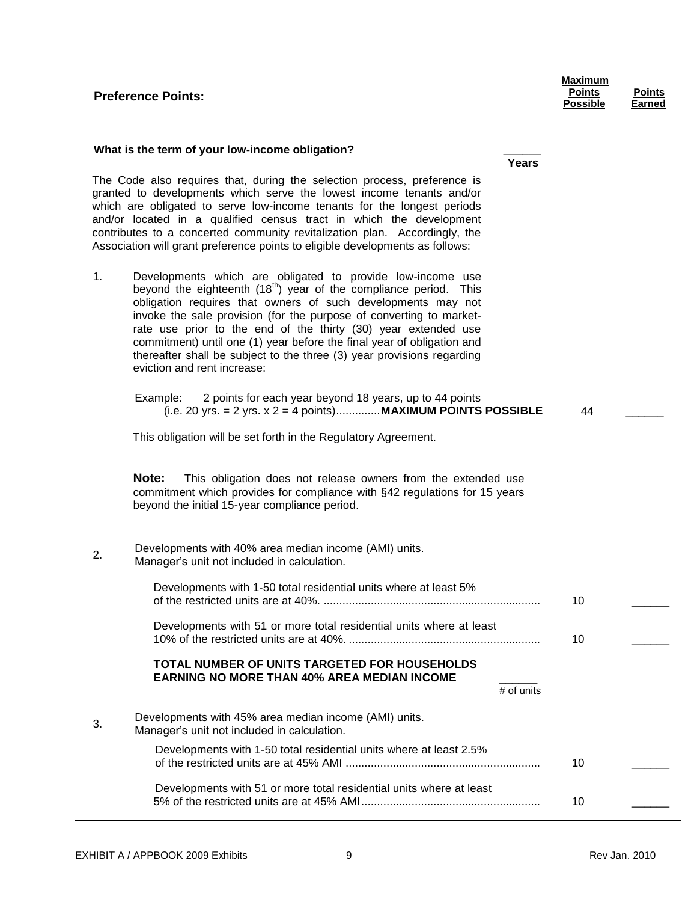# **Preference Points:**

| Maximum       |  |
|---------------|--|
| <b>Points</b> |  |
| Possible      |  |

**Years**

**Points Earned**

#### **What is the term of your low-income obligation? \_\_\_\_\_\_**

The Code also requires that, during the selection process, preference is granted to developments which serve the lowest income tenants and/or which are obligated to serve low-income tenants for the longest periods and/or located in a qualified census tract in which the development contributes to a concerted community revitalization plan. Accordingly, the Association will grant preference points to eligible developments as follows:

1. Developments which are obligated to provide low-income use beyond the eighteenth  $(18<sup>th</sup>)$  year of the compliance period. This obligation requires that owners of such developments may not invoke the sale provision (for the purpose of converting to marketrate use prior to the end of the thirty (30) year extended use commitment) until one (1) year before the final year of obligation and thereafter shall be subject to the three (3) year provisions regarding eviction and rent increase:

| Example: | 2 points for each year beyond 18 years, up to 44 points               |    |  |
|----------|-----------------------------------------------------------------------|----|--|
|          | (i.e. 20 yrs. = 2 yrs. x 2 = 4 points) <b>MAXIMUM POINTS POSSIBLE</b> | 44 |  |

This obligation will be set forth in the Regulatory Agreement.

**Note:** This obligation does not release owners from the extended use commitment which provides for compliance with §42 regulations for 15 years beyond the initial 15-year compliance period.

#### 2. Developments with 40% area median income (AMI) units. Manager's unit not included in calculation.

| Developments with 1-50 total residential units where at least 5%                                                           | 10 |  |
|----------------------------------------------------------------------------------------------------------------------------|----|--|
| Developments with 51 or more total residential units where at least                                                        | 10 |  |
| <b>TOTAL NUMBER OF UNITS TARGETED FOR HOUSEHOLDS</b><br><b>EARNING NO MORE THAN 40% AREA MEDIAN INCOME</b><br>$#$ of units |    |  |
| Developments with 45% area median income (AMI) units.<br>Manager's unit not included in calculation.                       |    |  |
| Developments with 1-50 total residential units where at least 2.5%                                                         | 10 |  |
| Developments with 51 or more total residential units where at least                                                        | 10 |  |

3.